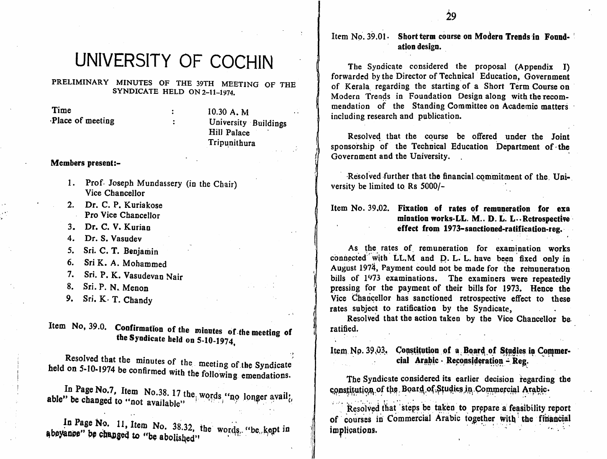Item No. 39.01 Short term course on Modern Trends in Found-

# ation design.

)

f

forwarded by the Director of Technical Education, Government of Kerala regarding the starting of a Short Term Course on Modern Trends in Foundation Design along with the recom mendation of the Standing Committee on Academic matters including research and publication.

Resolved that the course be offered under the Joint sponsorship of the Technical Education Department of the Government and the University.

Resolved further that the financial commitment of the. Uni

#### Item No. 39.02. Fixation of rates of remnneration for exa mination works-LL. M.. D. L. L--Retrospective effect from 1973-sanctioned-ratification-reg.

As the rates of remuneration for examination works connected with LL.M and D. L. L. have been fixed only in August 1974, Payment could not be made for the remuneration bills of 1973 examinations. The examiners were repeatedly pressing for the payment of their bills for 1973. Hence the Vice Chancellor has sanctioned retrospective effect to these rates subject to ratification by the Syndicate,

Resolved that the action taken by the Vice Chancellor be ratified.

Item No. 39,03. Constitution of a Board of Studies in Commercial Arabic - Reconsideration - Reg.

The Syndicate considered its earlier decision regarding the constitution of the Board of Studies in Commercial Arabic.

Resolved that steps be taken to prepare a feasibility report of courses in Commercial Arabic together with the financial implications. implications.  $\blacksquare$ 

# UNIVERSITY OF COCHIN The Syndicate considered the proposal (Appendix I)

PRELIMINARY MINUTES OF THE 39TH MEETING OF THE SYNDICATE HELD ON 2-11-1974.

 $\mathbf{r}$ 

Time Place of meeting

10.30 A. M University Buildings Hill Palace Tripunithura

#### Members present:-

- 1. Prof. Joseph Mundassery (in the Chair) versity be limited to Rs 5000/-Vice Chancellor
- 2. Dr. C. P. Kuriakose Pro Vice Chancellor
- 3. Dr. C. V. Kurian
- 4. Dr. S. Vasudev
- 5. Sri. C. T. Benjamin
- 6. Sri K. A. Mohammed
- 7. Sri. P. K. Vasudevan Nair
- Sri. P. N. Menon 8.
- 9, Sri, K- T. Chandy

Item No, 39.0. Confirmation of the minutes of the meeting of the Syndicate held on 5-10-1974,

Resolved that the minutes of the meeting of the Syndicate held on 5-10-1974 be confirmed with the following emendations. with the following emendations.

In Fage No.7, Item No.38. 17 the words "no longer avail" able" be changed to "not available"

 $\frac{11}{2}$  item No. 38.32, the words. "be kept in changed to "be abolished"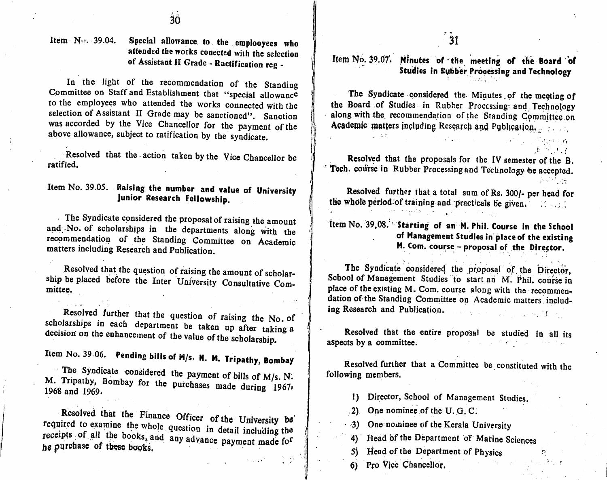### Item  $\text{N} \cdot \text{.}$  39.04. Special allowance to the emploovees who  $\frac{1}{31}$ attended the works conected with the selection of Assistant II Grade - Ractification reg -

In the light of the recommendation of the Standing Committee on Staff and Establishment that to the employees who attended the works connected with the selection of Assistant II Grade may be sanctioned". Sanction special allowance was accorded by the Vice Chancellor for the payment of the above allowance, subject to ratification by the syndicate.

Resolved that the action taken by the Vice Chancellor be **Resolved** that the proposals for the IV semester of the B. ratified.

### Item No. 39.05. Raising the number and value of University Junior Research Fellowship.

The Syndicate considered the proposal of raising the amount and iver or senorarships in the departments along with the recommendation of the Standing Committee on Academic matters including Research and Publication.

Resolved that the question of raising the amount of scholar ship be placed before the Inter University Consultative Committee.

ence the that the question of raising the No. of  $s_{\text{e}}$  is the experiment be taken up after taking a decision on the enhancement of  $d_{\text{e}}$ decision on the enhancement of the value of the scholarship.

Item No. 39.06. Pending bills of M/s. N. M. Tripathy, Bombay<br>The Syndicate considered the payment of bills of M/s. N. M. Tripathy, Bombay for the purchases made during 1967, 1968 and 1969.

Resolved that the Finance Officer of the University be required to examine the whole question in detail including the receipts of all the books, and any advance payment made for he purchase of these books. any advance payment made for

### Item No. 39.07. Minutes of the meeting of the Board of Studies in Bubber Processing and Technology

The Syndicate considered the Minutes of the meeting of the Board of Studies in Rubber Processing and Technology the Board of Studies in Rubber Processing'and Technology along with the recommendation of the Standing Committee.on Academic matters including Research and Publication.

Tech. course in Rubber Processing and Technology be accepted.

 $A = 2.127$ 

Resolved further that a total sum of Rs. 300/- per head for the whole period of training and practicals be given,  $\mathbb{R}$  and

### item No. 39,08. ' Starting of an M. Phil. Course in the School of Management Studies in place of the existing M. Com. cour;se - proposal of the Director.

The Syndicate considered the proposal of the Director, School of Management Studies to start au M. Phil. course in place of the existing M. Com. course along with the recommendation of the Standing Committee on Academic matters including Research and Publication.

Resolved that the entire proposal be studied in all its aspects by a committee.

Resolved further that a Committee be constituted with the following members.

- 1) Director, School of Management Studies.
- $(2)$  One nominee of the U.G.C.
- 3) One nominee of the Kerala University
- 4) Head of the Department of Marine Sciences
- 5) Head of the Department of Physics
- 6) Pro Vice Chancellor.

ŋ.

 $\mathbf{H}$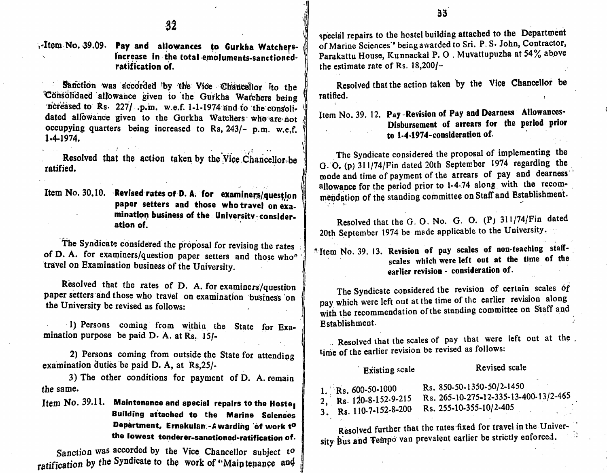Altem No. 39.09. Pay and allowances to Gurkha Watchersincrease in the total emoluments-sanctionedratification of.

Sanction was accorded by the Vice Chancellor Ito the 'Consolidaed allowance given to the Gurkha Watchers being ncreased to Rs. 227/ .p.m. w.e.f. 1-1-1974 and to the consolidated allowance given to the Gurkha Watchers who are not occupying quarters being increased to Rs, 243/- p.m. w.e.f.  $1 - 4 - 1974.$ 

Resolved that the action taken by the Vice Chancellor-be ratified.

Item No. 30.10. Revised rates of D. A. for examiners/question paper setters and those who travel on examination business of the University-consider. ation of.

The Syndicate considered the proposal for revising the rates of D. A. for examiners/question paper setters and those who<sup>n</sup> travel on Examination business of the University.

Resolved that the rates of D. A. for examiners/question paper setters and those who travel on examination business on the University be revised as follows:

1) Persons coming from within the State for Examination purpose be paid D. A. at Rs. 15/-

2) Persons coming from outside the State for attending examination duties be paid D. A, at Rs.25/-

3) The other conditions for payment of D. A. remain the same.

Item No. 39.11. Maintenance and special repairs to the Hoste **Building attached to the Marine Sciences** Department, Ernakulan:-Awarding of work to the lowest tenderer-sanctioned-ratification of.

Sanction was accorded by the Vice Chancellor subject to ratification by the Syndicate to the work of "Main tenance and special repairs to the hostel building attached to the Department of Marine Sciences'' being awarded to Sri. P. S. John, Contractor, Parakattu House, Kunnackal P. O. Muvattupuzha at 54% above the estimate rate of Rs.  $18,200/-$ 

Resolved that the action taken by the Vice Chancellor be ratified.

Item No. 39. 12. Pay-Revision of Pay and Dearness Allowances-Disbursement of arrears for the period prior to 1-4-1974-consideration of.

The Syndicate considered the proposal of implementing the G. O. (p) 311/74/Fin dated 20th September 1974 regarding the mode and time of payment of the arrears of pay and dearness allowance for the period prior to 1-4-74 along with the recommendation of the standing committee on Staff and Establishment.

Resolved that the G.O.No. G.O. (P) 311/74/Fin dated 20th September 1974 be made applicable to the University.

<sup>2</sup> Item No. 39. 13. Revision of pay scales of non-teaching staffscales which were left out at the time of the earlier revision - consideration of.

The Syndicate considered the revision of certain scales of pay which were left out at the time of the earlier revision along with the recommendation of the standing committee on Staff and Establishment.

Resolved that the scales of pay that were left out at the. time of the earlier revision be revised as follows:

| <b>Existing scale</b>                                                  | Revised scale                                                                                           |
|------------------------------------------------------------------------|---------------------------------------------------------------------------------------------------------|
| 1. Rs. 600-50-1000<br>2, Rs. 120-8-152-9-215<br>3. Rs. 110-7-152-8-200 | Rs. 850-50-1350-50/2-1450<br>Rs. 265-10-275-12-335-13-400-13/2-465<br>Rs. 255-10-355-10/2-405<br>$\sim$ |

Resolved further that the rates fixed for travel in the University Bus and Tempo van prevalent earlier be strictly enforced.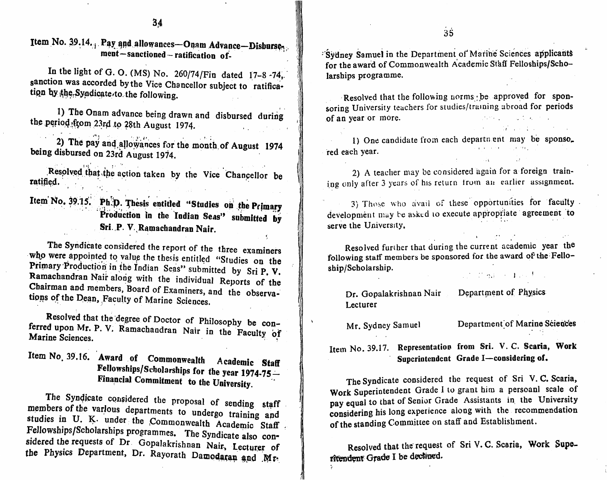Item No. 39.14. Pay and allowances—Onam Advance—Disburse $\gamma$ ment-sanctioned-ratification of-

In the light of G. O. (MS) No. 260/74/Fin dated  $17-8-74$ , sanction was accorded by the Vice Chancellor subject to ratification by the Syndicate to the following.

1) The Onam advance being drawn and disbursed during the period from 23rd to 28th August 1974.

2) The pay and allowances for the month of August 1974 being disbursed on 23rd August 1974.

 $\mathbb{R}$ Resolved that the action taken by the Vice Chancellor be  $r_{\rm{diff}}$  and  $r_{\rm{diff}}$  and  $r_{\rm{diff}}$  and  $r_{\rm{diff}}$  and  $r_{\rm{diff}}$  and  $r_{\rm{diff}}$  and  $r_{\rm{diff}}$  and  $r_{\rm{diff}}$  and  $r_{\rm{diff}}$  and  $r_{\rm{diff}}$  and  $r_{\rm{diff}}$  and  $r_{\rm{diff}}$  and  $r_{\rm{diff}}$  and  $r_{\rm{diff}}$  and  $r_{\rm{diff}}$  and  $r_{\rm{diff}}$  a

Item No. 39.15. Ph.D. Thesis entitled "Studies on the Primary Production in the Indian Seas" submitted by Sri. P. V. Ramachandran Nalr.

The Syndicate considered the report of the three examiners who were appointed to value the thesis entitled "Studies on the Primary Production in the Indian Seas" submitted by Sri P. V. Ramachandran Nair along with the individual Reports of the Chairman and members  $\frac{1}{2}$  and  $\frac{1}{2}$  are  $\frac{1}{2}$ . tions of the Deap. Faculty of M. C. C. :  $\alpha$ . tions of the Dean, Faculty of Marine Sciences.

Resolved that the degree of Doctor of Philosophy be conferred upon Mr. P. V. Ramachandran Nair in the Facu Marine Sciences. ivan in the Faculty of con-

Item No. 39.10. Award of Commonwealth Academic Staff **Fellowships/Scholarships for the year 1974-75—** Financial Commitment to the University.<br>The Syndicate considered the proposal of sending staff

 $\frac{1}{2}$  bers of the various dependences to proposal of sending staff studies in  $\Pi$  K under the  $G$  undergo training and studies in U. K. under the Commonwealth Academic Staff , Fellowships/Scholarships programmes. The Syndicate also con-Ferritually programmes. The Syndicate also con sidered the requests of Dr Gopalakrishnan Nair, lecturer of the Physics Department, Dr. Rayorath Damodaran and Mr-Sydney Samuel in the Department of Marine Sciences applicants for the award of Commonwealth Academic Staff Felloships/Scholarships programme.

Resolved that the following norms be approved for sponsoring University teachers for studies/training abroad for periods of an year or more.

1) One candidate from each departn ent may be sponso. red each year.

2) A teacher may be considered again for a foreign training only after 3 years of his return from an earlier assignment.

3) Those who avail of these opportunities for faculty development may be asked to execute appropriate agreement to serve the University.

Resolved further that during the current academic year the following staff members be sponsored for the award of the Felloship/Scholarship. Sun mean of Free Porch

Dr. Gopalakrishnan Nair Department of Physics Lecturer

Mr. Sydney Samuel Department of Marine Sciences

the control of the control of the control of the

Item No. 39.17. Representation from Sri. V. C. Scaria, Work Superintendent Grade I—considering of.

The Syndicate considered the request of Sri V. C. Scaria, Work Superintendent Grade I to grant him a persoanl scale of pay equal to that of Senior Grade Assistants in the University pay equal to that of Senior Grade Assistants in the University considering his long experience along with the recommendation of the standing Committee on staff and Establishment.

Resolved that the request of Sri V. C. Scaria, Work Superitendent Grade I be declined.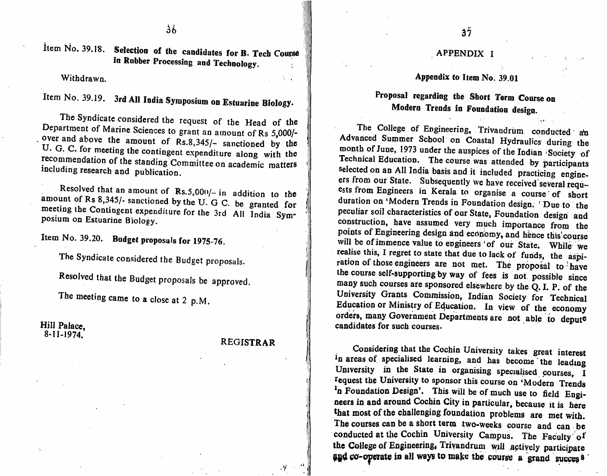Item No. 39.18. Selection of the candidates for B. Tech Course Manuscriptum and Manuscriptum APPENDIX I in Robber Processing and Technology.

#### Withdrawn.

## Item No. 39.19. 3rd All India Symposium on Estuarine Biology.

The Syndicate considered the request of the Head of the Department of Marine Sciences to grant an amount of Rs 5,000/request of the Head of the  $\Gamma$  - The College of Equipments of The  $\Gamma$  $\sim$  , over and above the amount of Rs.8,345/- sanctioned by the<br>U. G. C. for meeting the contingent expenditure along with the  $r = 0$  commendation of the standing  $Q_{\text{max}}$  is the standing  $Q_{\text{max}}$  is the standing  $Q_{\text{max}}$  is the standing  $Q_{\text{max}}$  is the standing  $Q_{\text{max}}$  is the standing  $Q_{\text{max}}$  is the standing  $Q_{\text{max}}$  is the standing  $Q_{$ including research and publication including research and publication.

amount of Rs 8,345/- sanctioned by the U. G C. be granted for<br>meeting the Continuum with the U. G C. be granted for meeting the Contingent expenditure for the 3rd posium on Estuarine Biology. be granted for All India Sym-

Item No. 39.20. Budget proposals for 1975-76.

The Syndicate considered the Budget proposals.

Figure the Budget proposals be approved.

The meeting came to a close at 2 p.M.

# Hill Palace,<br>8-11-1974.

#### REGISTRAR

#### Appendix to Item No. 39.01

#### Proposal regarding the Short Term Course on Modern Trends in Foundation design.

The College of Engineering, Trivandrum conducted an Advanced Summer School on Coastal Hydraulics during the month of June, 1973 under the auspices of the Indian Society of Technical Education. The course was attended by participants Selected on an All India bosing and is the test of the participants Selected on an All India basis and it included practicing engine ers from our State. Subsequently we have received several required. ests from Engineers in Kerala to organise a course of short duration on 'Modern Trends in Foundation design. ' Due to the peculiar soil characteristics of our State, Foundation design and construction, have assumed very much importance from the points of Engineering design and economy, and hence this course will be of immence value to engineers 'of our State. While we realise this, I regret to state that due to lack of funds, the aspiration of those engineers are not met. The proposal to have the course self-supporting by way of fees is not possible since  $t_{\text{max}}$  supporting by way of fees is not possible since  $\frac{m}{2}$  such courses are sponsored elsewhere by the Q. I. P. of the University Grants Commission, Indian Society for Technical Education or Ministry of Education. In view of the economy orders, many Government Departments are not able to depute candidates for such courses.

Considering that the Cochin University takes great interest In areas of specialised rearning, and has become the leading University in the State in organising specialised courses, I request the University to sponsor this course on 'Modern Trends <sup>1</sup>n Foundation Design'. This will be of much use to field Engineers in and around Cochin City in particular, because it is here that most of the challenging foundation problems are met with. The courses can be a short term two-weeks course and can be conducted at the Cochin University Campus. The Faculty of conducted at the Cochin University Campus. The Faculty of the College of Engineering, Trivandrum will actively participate and co-operate in all ways to make the course a grand succes  $\frac{1}{2}$